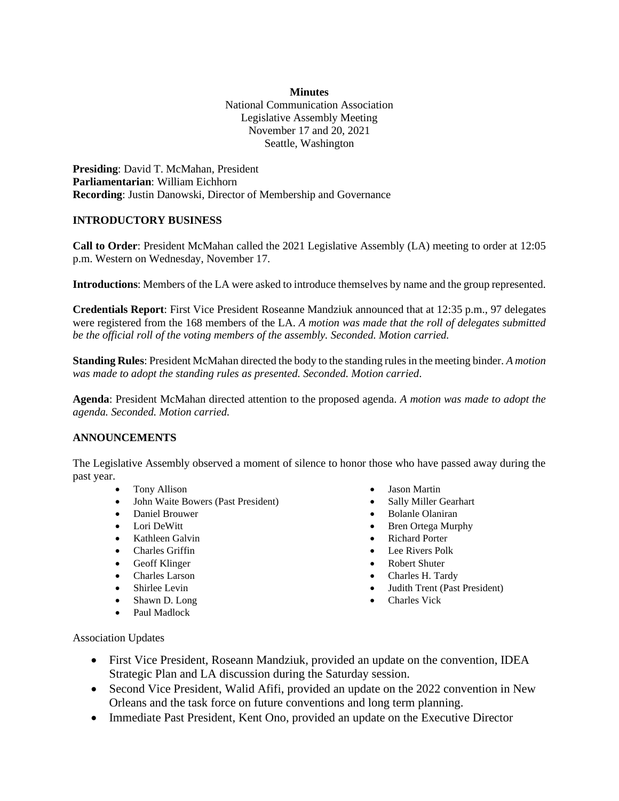## **Minutes**

National Communication Association Legislative Assembly Meeting November 17 and 20, 2021 Seattle, Washington

**Presiding**: David T. McMahan, President **Parliamentarian**: William Eichhorn **Recording**: Justin Danowski, Director of Membership and Governance

## **INTRODUCTORY BUSINESS**

**Call to Order**: President McMahan called the 2021 Legislative Assembly (LA) meeting to order at 12:05 p.m. Western on Wednesday, November 17.

**Introductions**: Members of the LA were asked to introduce themselves by name and the group represented.

**Credentials Report**: First Vice President Roseanne Mandziuk announced that at 12:35 p.m., 97 delegates were registered from the 168 members of the LA. *A motion was made that the roll of delegates submitted be the official roll of the voting members of the assembly. Seconded. Motion carried.* 

**Standing Rules**: President McMahan directed the body to the standing rules in the meeting binder. *A motion was made to adopt the standing rules as presented. Seconded. Motion carried*.

**Agenda**: President McMahan directed attention to the proposed agenda. *A motion was made to adopt the agenda. Seconded. Motion carried.*

## **ANNOUNCEMENTS**

The Legislative Assembly observed a moment of silence to honor those who have passed away during the past year.

- Tony Allison
- John Waite Bowers (Past President)
- Daniel Brouwer
- Lori DeWitt
- Kathleen Galvin
- Charles Griffin
- Geoff Klinger
- Charles Larson
- Shirlee Levin
- Shawn D. Long
- Paul Madlock
- Jason Martin
- Sally Miller Gearhart
- Bolanle Olaniran
- Bren Ortega Murphy
- Richard Porter
- Lee Rivers Polk
- Robert Shuter
- Charles H. Tardy
- Judith Trent (Past President)
- Charles Vick

Association Updates

- First Vice President, Roseann Mandziuk, provided an update on the convention, IDEA Strategic Plan and LA discussion during the Saturday session.
- Second Vice President, Walid Afifi, provided an update on the 2022 convention in New Orleans and the task force on future conventions and long term planning.
- Immediate Past President, Kent Ono, provided an update on the Executive Director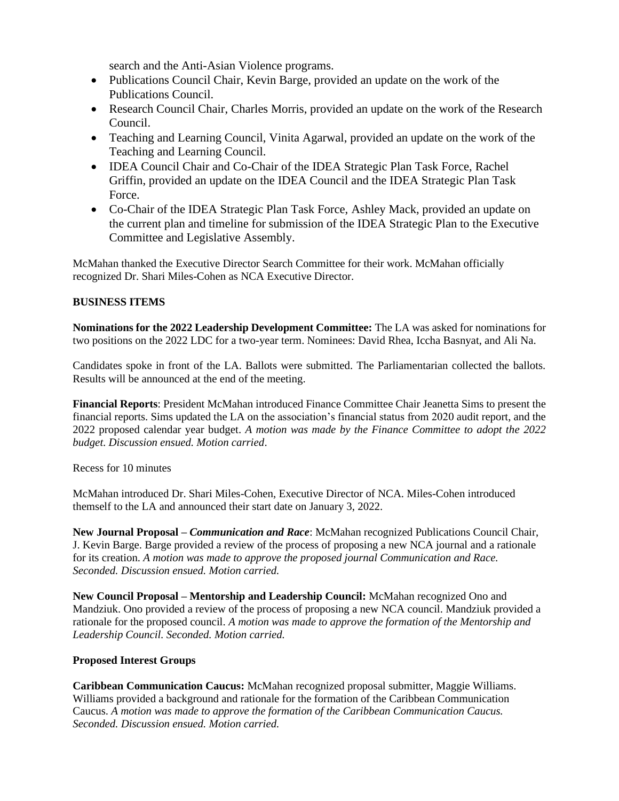search and the Anti-Asian Violence programs.

- Publications Council Chair, Kevin Barge, provided an update on the work of the Publications Council.
- Research Council Chair, Charles Morris, provided an update on the work of the Research Council.
- Teaching and Learning Council, Vinita Agarwal, provided an update on the work of the Teaching and Learning Council.
- IDEA Council Chair and Co-Chair of the IDEA Strategic Plan Task Force, Rachel Griffin, provided an update on the IDEA Council and the IDEA Strategic Plan Task Force.
- Co-Chair of the IDEA Strategic Plan Task Force, Ashley Mack, provided an update on the current plan and timeline for submission of the IDEA Strategic Plan to the Executive Committee and Legislative Assembly.

McMahan thanked the Executive Director Search Committee for their work. McMahan officially recognized Dr. Shari Miles-Cohen as NCA Executive Director.

# **BUSINESS ITEMS**

**Nominations for the 2022 Leadership Development Committee:** The LA was asked for nominations for two positions on the 2022 LDC for a two-year term. Nominees: David Rhea, Iccha Basnyat, and Ali Na.

Candidates spoke in front of the LA. Ballots were submitted. The Parliamentarian collected the ballots. Results will be announced at the end of the meeting.

**Financial Reports**: President McMahan introduced Finance Committee Chair Jeanetta Sims to present the financial reports. Sims updated the LA on the association's financial status from 2020 audit report, and the 2022 proposed calendar year budget. *A motion was made by the Finance Committee to adopt the 2022 budget*. *Discussion ensued. Motion carried*.

# Recess for 10 minutes

McMahan introduced Dr. Shari Miles-Cohen, Executive Director of NCA. Miles-Cohen introduced themself to the LA and announced their start date on January 3, 2022.

**New Journal Proposal –** *Communication and Race*: McMahan recognized Publications Council Chair, J. Kevin Barge. Barge provided a review of the process of proposing a new NCA journal and a rationale for its creation. *A motion was made to approve the proposed journal Communication and Race. Seconded. Discussion ensued. Motion carried.* 

**New Council Proposal – Mentorship and Leadership Council:** McMahan recognized Ono and Mandziuk. Ono provided a review of the process of proposing a new NCA council. Mandziuk provided a rationale for the proposed council. *A motion was made to approve the formation of the Mentorship and Leadership Council. Seconded. Motion carried.* 

# **Proposed Interest Groups**

**Caribbean Communication Caucus:** McMahan recognized proposal submitter, Maggie Williams. Williams provided a background and rationale for the formation of the Caribbean Communication Caucus. *A motion was made to approve the formation of the Caribbean Communication Caucus. Seconded. Discussion ensued. Motion carried.*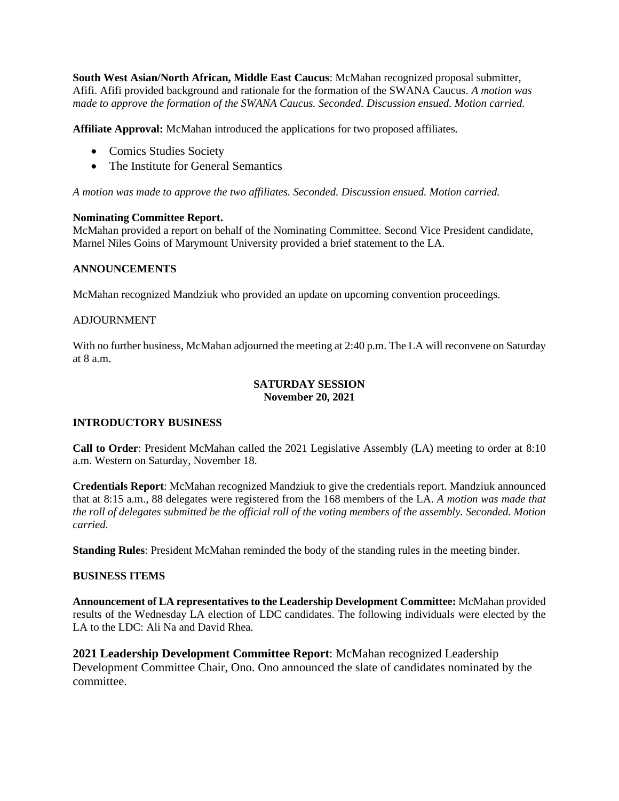**South West Asian/North African, Middle East Caucus**: McMahan recognized proposal submitter, Afifi. Afifi provided background and rationale for the formation of the SWANA Caucus. *A motion was made to approve the formation of the SWANA Caucus. Seconded. Discussion ensued. Motion carried.*

**Affiliate Approval:** McMahan introduced the applications for two proposed affiliates.

- Comics Studies Society
- The Institute for General Semantics

*A motion was made to approve the two affiliates. Seconded. Discussion ensued. Motion carried.* 

## **Nominating Committee Report.**

McMahan provided a report on behalf of the Nominating Committee. Second Vice President candidate, Marnel Niles Goins of Marymount University provided a brief statement to the LA.

## **ANNOUNCEMENTS**

McMahan recognized Mandziuk who provided an update on upcoming convention proceedings.

## ADJOURNMENT

With no further business, McMahan adjourned the meeting at 2:40 p.m. The LA will reconvene on Saturday at  $8a \, \text{m}$ 

## **SATURDAY SESSION November 20, 2021**

## **INTRODUCTORY BUSINESS**

**Call to Order**: President McMahan called the 2021 Legislative Assembly (LA) meeting to order at 8:10 a.m. Western on Saturday, November 18.

**Credentials Report**: McMahan recognized Mandziuk to give the credentials report. Mandziuk announced that at 8:15 a.m., 88 delegates were registered from the 168 members of the LA. *A motion was made that the roll of delegates submitted be the official roll of the voting members of the assembly. Seconded. Motion carried.* 

**Standing Rules**: President McMahan reminded the body of the standing rules in the meeting binder.

## **BUSINESS ITEMS**

**Announcement of LA representatives to the Leadership Development Committee:** McMahan provided results of the Wednesday LA election of LDC candidates. The following individuals were elected by the LA to the LDC: Ali Na and David Rhea.

**2021 Leadership Development Committee Report**: McMahan recognized Leadership Development Committee Chair, Ono. Ono announced the slate of candidates nominated by the committee.